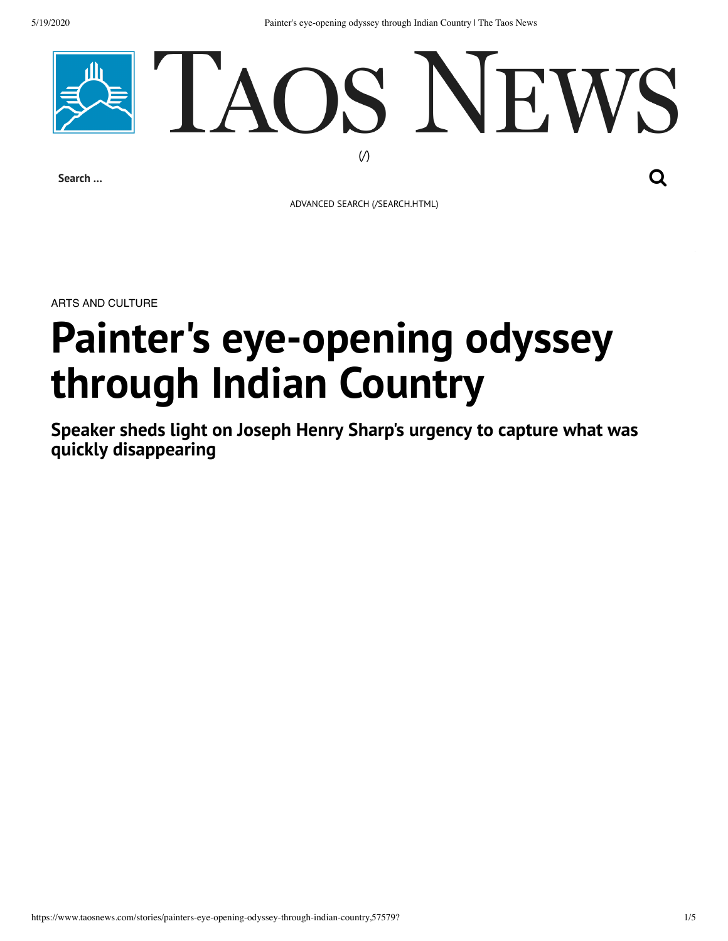5/19/2020 Painter's eye-opening odyssey through Indian Country | The Taos News



**Search …**

ADVANCED SEARCH [\(/SEARCH.HTML\)](https://www.taosnews.com/search.html)

ARTS AND CULTURE

# **Painter's eye-opening odyssey through Indian Country**

**Speaker sheds light on Joseph Henry Sharp's urgency to capture what was quickly disappearing**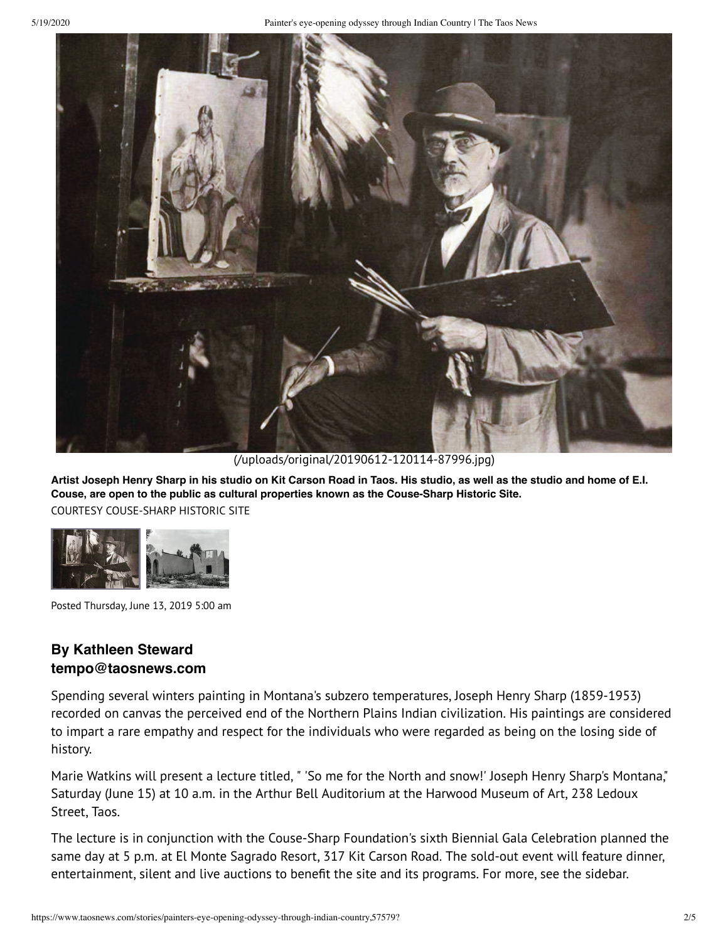

[\(/uploads/original/20190612-120114-87996.jpg\)](https://www.taosnews.com/uploads/original/20190612-120114-87996.jpg)

**Artist Joseph Henry Sharp in his studio on Kit Carson Road in Taos. His studio, as well as the studio and home of E.I. Couse, are open to the public as cultural properties known as the Couse-Sharp Historic Site.** COURTESY COUSE-SHARP HISTORIC SITE



Posted Thursday, June 13, 2019 5:00 am

## **By Kathleen Steward tempo@taosnews.com**

Spending several winters painting in Montana's subzero temperatures, Joseph Henry Sharp (1859-1953) recorded on canvas the perceived end of the Northern Plains Indian civilization. His paintings are considered to impart a rare empathy and respect for the individuals who were regarded as being on the losing side of history.

Marie Watkins will present a lecture titled, " 'So me for the North and snow!' Joseph Henry Sharp's Montana," Saturday (June 15) at 10 a.m. in the Arthur Bell Auditorium at the Harwood Museum of Art, 238 Ledoux Street, Taos.

The lecture is in conjunction with the Couse-Sharp Foundation's sixth Biennial Gala Celebration planned the same day at 5 p.m. at El Monte Sagrado Resort, 317 Kit Carson Road. The sold-out event will feature dinner, entertainment, silent and live auctions to benefit the site and its programs. For more, see the sidebar.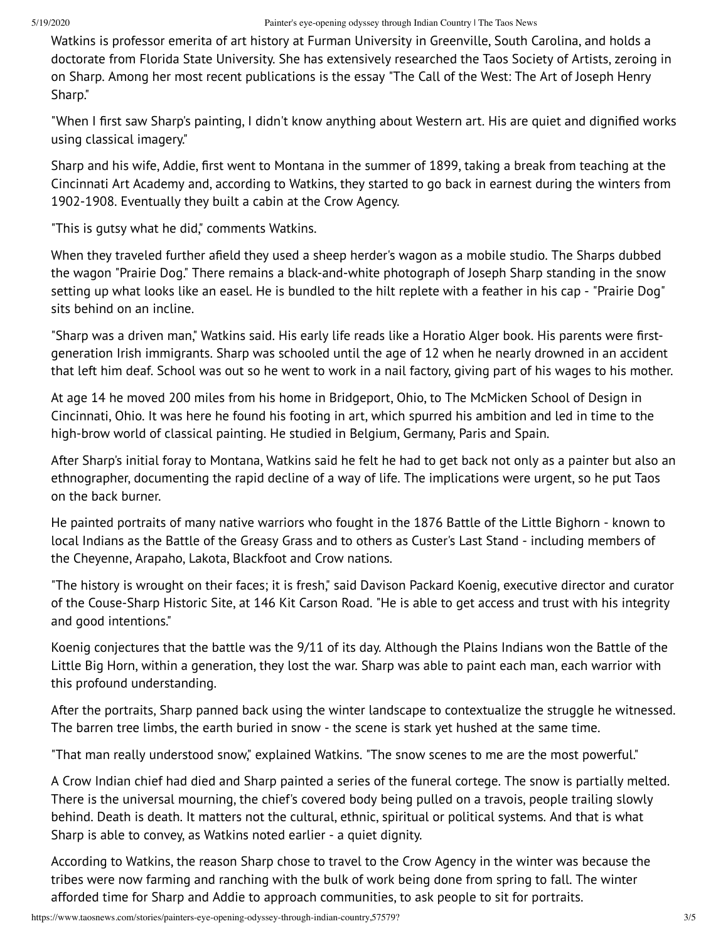Watkins is professor emerita of art history at Furman University in Greenville, South Carolina, and holds a doctorate from Florida State University. She has extensively researched the Taos Society of Artists, zeroing in on Sharp. Among her most recent publications is the essay "The Call of the West: The Art of Joseph Henry Sharp."

"When I first saw Sharp's painting, I didn't know anything about Western art. His are quiet and dignified works using classical imagery."

Sharp and his wife, Addie, first went to Montana in the summer of 1899, taking a break from teaching at the Cincinnati Art Academy and, according to Watkins, they started to go back in earnest during the winters from 1902-1908. Eventually they built a cabin at the Crow Agency.

"This is gutsy what he did," comments Watkins.

When they traveled further afield they used a sheep herder's wagon as a mobile studio. The Sharps dubbed the wagon "Prairie Dog." There remains a black-and-white photograph of Joseph Sharp standing in the snow setting up what looks like an easel. He is bundled to the hilt replete with a feather in his cap - "Prairie Dog" sits behind on an incline.

"Sharp was a driven man," Watkins said. His early life reads like a Horatio Alger book. His parents were firstgeneration Irish immigrants. Sharp was schooled until the age of 12 when he nearly drowned in an accident that left him deaf. School was out so he went to work in a nail factory, giving part of his wages to his mother.

At age 14 he moved 200 miles from his home in Bridgeport, Ohio, to The McMicken School of Design in Cincinnati, Ohio. It was here he found his footing in art, which spurred his ambition and led in time to the high-brow world of classical painting. He studied in Belgium, Germany, Paris and Spain.

After Sharp's initial foray to Montana, Watkins said he felt he had to get back not only as a painter but also an ethnographer, documenting the rapid decline of a way of life. The implications were urgent, so he put Taos on the back burner.

He painted portraits of many native warriors who fought in the 1876 Battle of the Little Bighorn - known to local Indians as the Battle of the Greasy Grass and to others as Custer's Last Stand - including members of the Cheyenne, Arapaho, Lakota, Blackfoot and Crow nations.

"The history is wrought on their faces; it is fresh," said Davison Packard Koenig, executive director and curator of the Couse-Sharp Historic Site, at 146 Kit Carson Road. "He is able to get access and trust with his integrity and good intentions."

Koenig conjectures that the battle was the 9/11 of its day. Although the Plains Indians won the Battle of the Little Big Horn, within a generation, they lost the war. Sharp was able to paint each man, each warrior with this profound understanding.

After the portraits, Sharp panned back using the winter landscape to contextualize the struggle he witnessed. The barren tree limbs, the earth buried in snow - the scene is stark yet hushed at the same time.

"That man really understood snow," explained Watkins. "The snow scenes to me are the most powerful."

A Crow Indian chief had died and Sharp painted a series of the funeral cortege. The snow is partially melted. There is the universal mourning, the chief's covered body being pulled on a travois, people trailing slowly behind. Death is death. It matters not the cultural, ethnic, spiritual or political systems. And that is what Sharp is able to convey, as Watkins noted earlier - a quiet dignity.

According to Watkins, the reason Sharp chose to travel to the Crow Agency in the winter was because the tribes were now farming and ranching with the bulk of work being done from spring to fall. The winter afforded time for Sharp and Addie to approach communities, to ask people to sit for portraits.